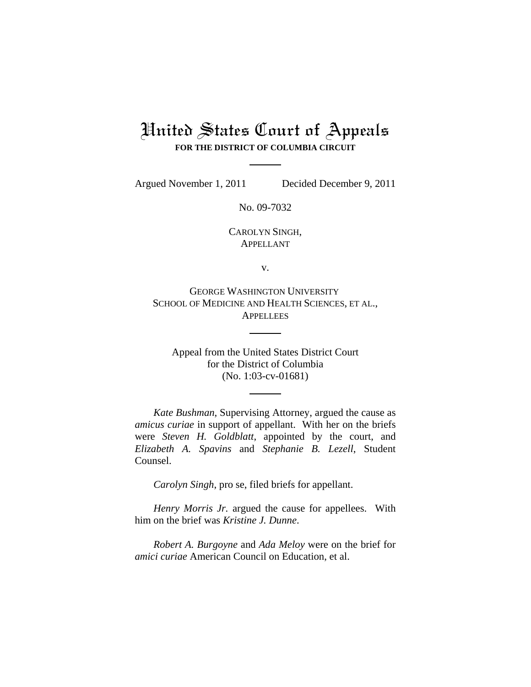## United States Court of Appeals **FOR THE DISTRICT OF COLUMBIA CIRCUIT**

Argued November 1, 2011 Decided December 9, 2011

No. 09-7032

CAROLYN SINGH, APPELLANT

v.

GEORGE WASHINGTON UNIVERSITY SCHOOL OF MEDICINE AND HEALTH SCIENCES, ET AL., **APPELLEES** 

Appeal from the United States District Court for the District of Columbia (No. 1:03-cv-01681)

*Kate Bushman*, Supervising Attorney, argued the cause as *amicus curiae* in support of appellant. With her on the briefs were *Steven H. Goldblatt*, appointed by the court, and *Elizabeth A. Spavins* and *Stephanie B. Lezell*, Student Counsel.

*Carolyn Singh*, pro se, filed briefs for appellant.

*Henry Morris Jr.* argued the cause for appellees. With him on the brief was *Kristine J. Dunne*.

*Robert A. Burgoyne* and *Ada Meloy* were on the brief for *amici curiae* American Council on Education, et al.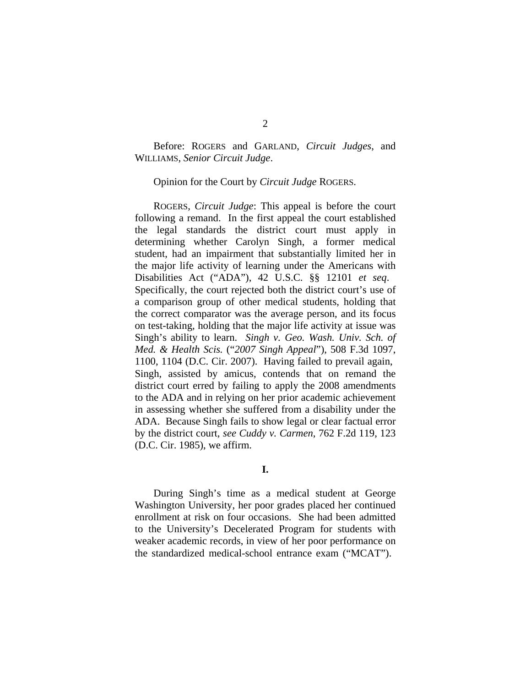Before: ROGERS and GARLAND, *Circuit Judges*, and WILLIAMS, *Senior Circuit Judge*.

Opinion for the Court by *Circuit Judge* ROGERS.

ROGERS, *Circuit Judge*: This appeal is before the court following a remand. In the first appeal the court established the legal standards the district court must apply in determining whether Carolyn Singh, a former medical student, had an impairment that substantially limited her in the major life activity of learning under the Americans with Disabilities Act ("ADA"), 42 U.S.C. §§ 12101 *et seq*. Specifically, the court rejected both the district court's use of a comparison group of other medical students, holding that the correct comparator was the average person, and its focus on test-taking, holding that the major life activity at issue was Singh's ability to learn. *Singh v. Geo. Wash. Univ. Sch. of Med. & Health Scis.* ("*2007 Singh Appeal*"), 508 F.3d 1097, 1100, 1104 (D.C. Cir. 2007). Having failed to prevail again, Singh, assisted by amicus, contends that on remand the district court erred by failing to apply the 2008 amendments to the ADA and in relying on her prior academic achievement in assessing whether she suffered from a disability under the ADA. Because Singh fails to show legal or clear factual error by the district court, *see Cuddy v. Carmen*, 762 F.2d 119, 123 (D.C. Cir. 1985), we affirm.

**I.**

During Singh's time as a medical student at George Washington University, her poor grades placed her continued enrollment at risk on four occasions. She had been admitted to the University's Decelerated Program for students with weaker academic records, in view of her poor performance on the standardized medical-school entrance exam ("MCAT").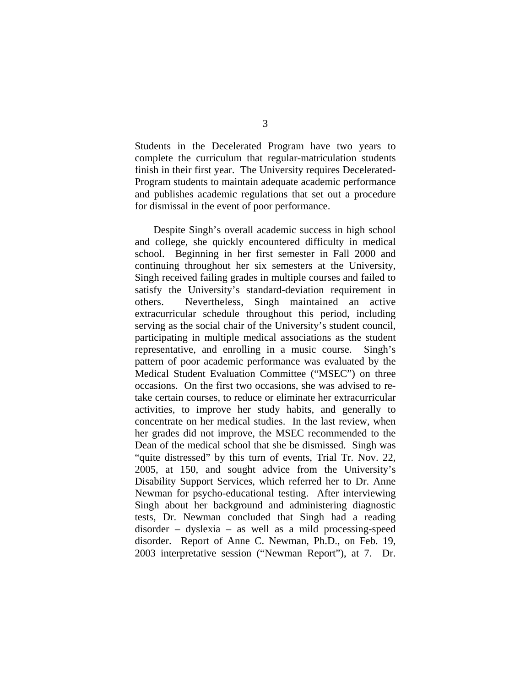Students in the Decelerated Program have two years to complete the curriculum that regular-matriculation students finish in their first year. The University requires Decelerated-Program students to maintain adequate academic performance and publishes academic regulations that set out a procedure for dismissal in the event of poor performance.

Despite Singh's overall academic success in high school and college, she quickly encountered difficulty in medical school. Beginning in her first semester in Fall 2000 and continuing throughout her six semesters at the University, Singh received failing grades in multiple courses and failed to satisfy the University's standard-deviation requirement in others. Nevertheless, Singh maintained an active extracurricular schedule throughout this period, including serving as the social chair of the University's student council, participating in multiple medical associations as the student representative, and enrolling in a music course. Singh's pattern of poor academic performance was evaluated by the Medical Student Evaluation Committee ("MSEC") on three occasions. On the first two occasions, she was advised to retake certain courses, to reduce or eliminate her extracurricular activities, to improve her study habits, and generally to concentrate on her medical studies. In the last review, when her grades did not improve, the MSEC recommended to the Dean of the medical school that she be dismissed. Singh was "quite distressed" by this turn of events, Trial Tr. Nov. 22, 2005, at 150, and sought advice from the University's Disability Support Services, which referred her to Dr. Anne Newman for psycho-educational testing. After interviewing Singh about her background and administering diagnostic tests, Dr. Newman concluded that Singh had a reading disorder – dyslexia – as well as a mild processing-speed disorder. Report of Anne C. Newman, Ph.D., on Feb. 19, 2003 interpretative session ("Newman Report"), at 7. Dr.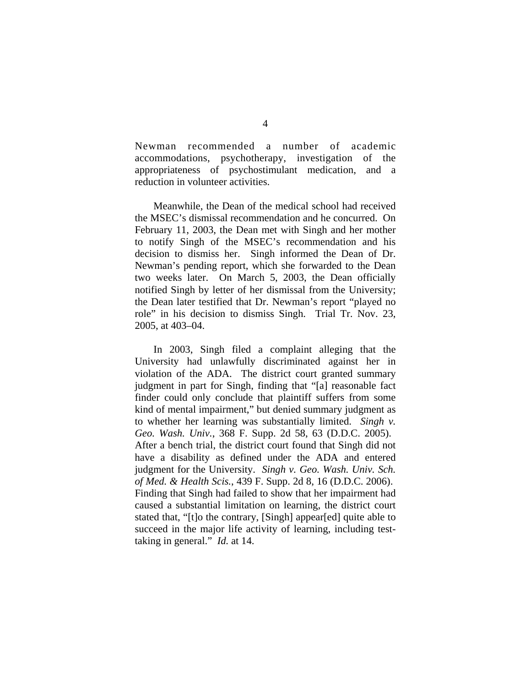Newman recommended a number of academic accommodations, psychotherapy, investigation of the appropriateness of psychostimulant medication, and a reduction in volunteer activities.

Meanwhile, the Dean of the medical school had received the MSEC's dismissal recommendation and he concurred. On February 11, 2003, the Dean met with Singh and her mother to notify Singh of the MSEC's recommendation and his decision to dismiss her. Singh informed the Dean of Dr. Newman's pending report, which she forwarded to the Dean two weeks later. On March 5, 2003, the Dean officially notified Singh by letter of her dismissal from the University; the Dean later testified that Dr. Newman's report "played no role" in his decision to dismiss Singh. Trial Tr. Nov. 23, 2005, at 403–04.

In 2003, Singh filed a complaint alleging that the University had unlawfully discriminated against her in violation of the ADA. The district court granted summary judgment in part for Singh, finding that "[a] reasonable fact finder could only conclude that plaintiff suffers from some kind of mental impairment," but denied summary judgment as to whether her learning was substantially limited. *Singh v. Geo. Wash. Univ.*, 368 F. Supp. 2d 58, 63 (D.D.C. 2005). After a bench trial, the district court found that Singh did not have a disability as defined under the ADA and entered judgment for the University. *Singh v. Geo. Wash. Univ. Sch. of Med. & Health Scis.*, 439 F. Supp. 2d 8, 16 (D.D.C. 2006). Finding that Singh had failed to show that her impairment had caused a substantial limitation on learning, the district court stated that, "[t]o the contrary, [Singh] appear[ed] quite able to succeed in the major life activity of learning, including testtaking in general." *Id.* at 14.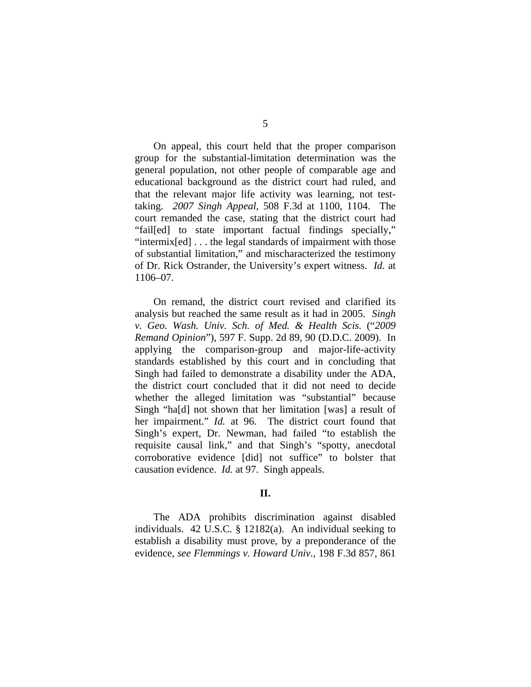On appeal, this court held that the proper comparison group for the substantial-limitation determination was the general population, not other people of comparable age and educational background as the district court had ruled, and that the relevant major life activity was learning, not testtaking. *2007 Singh Appeal*, 508 F.3d at 1100, 1104. The court remanded the case, stating that the district court had "fail[ed] to state important factual findings specially," "intermix[ed] . . . the legal standards of impairment with those of substantial limitation," and mischaracterized the testimony of Dr. Rick Ostrander, the University's expert witness. *Id.* at 1106–07.

On remand, the district court revised and clarified its analysis but reached the same result as it had in 2005. *Singh v. Geo. Wash. Univ. Sch. of Med. & Health Scis.* ("*2009 Remand Opinion*"), 597 F. Supp. 2d 89, 90 (D.D.C. 2009). In applying the comparison-group and major-life-activity standards established by this court and in concluding that Singh had failed to demonstrate a disability under the ADA, the district court concluded that it did not need to decide whether the alleged limitation was "substantial" because Singh "ha[d] not shown that her limitation [was] a result of her impairment." *Id.* at 96. The district court found that Singh's expert, Dr. Newman, had failed "to establish the requisite causal link," and that Singh's "spotty, anecdotal corroborative evidence [did] not suffice" to bolster that causation evidence. *Id.* at 97. Singh appeals.

## **II.**

The ADA prohibits discrimination against disabled individuals. 42 U.S.C. § 12182(a). An individual seeking to establish a disability must prove, by a preponderance of the evidence, *see Flemmings v. Howard Univ.*, 198 F.3d 857, 861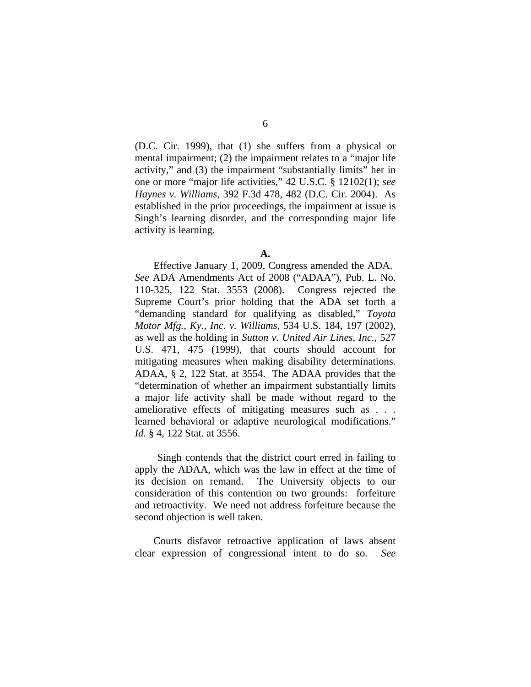(D.C. Cir. 1999), that (1) she suffers from a physical or mental impairment; (2) the impairment relates to a "major life activity," and (3) the impairment "substantially limits" her in one or more "major life activities," 42 U.S.C. § 12102(1); *see Haynes v. Williams*, 392 F.3d 478, 482 (D.C. Cir. 2004). As established in the prior proceedings, the impairment at issue is Singh's learning disorder, and the corresponding major life activity is learning.

Effective January 1, 2009, Congress amended the ADA. *See* ADA Amendments Act of 2008 ("ADAA"), Pub. L. No. 110-325, 122 Stat. 3553 (2008). Congress rejected the Supreme Court's prior holding that the ADA set forth a "demanding standard for qualifying as disabled," *Toyota Motor Mfg., Ky., Inc. v. Williams*, 534 U.S. 184, 197 (2002), as well as the holding in *Sutton v. United Air Lines, Inc.*, 527 U.S. 471, 475 (1999), that courts should account for mitigating measures when making disability determinations. ADAA, § 2, 122 Stat. at 3554. The ADAA provides that the "determination of whether an impairment substantially limits a major life activity shall be made without regard to the ameliorative effects of mitigating measures such as . . . learned behavioral or adaptive neurological modifications." *Id.* § 4, 122 Stat. at 3556.

 Singh contends that the district court erred in failing to apply the ADAA, which was the law in effect at the time of its decision on remand. The University objects to our consideration of this contention on two grounds: forfeiture and retroactivity. We need not address forfeiture because the second objection is well taken.

Courts disfavor retroactive application of laws absent clear expression of congressional intent to do so. *See*

**A.**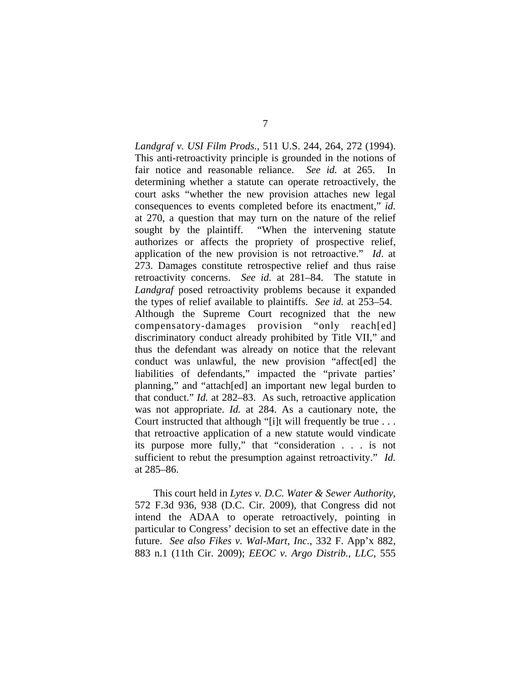*Landgraf v. USI Film Prods.*, 511 U.S. 244, 264, 272 (1994). This anti-retroactivity principle is grounded in the notions of fair notice and reasonable reliance. *See id.* at 265. In determining whether a statute can operate retroactively, the court asks "whether the new provision attaches new legal consequences to events completed before its enactment," *id.* at 270, a question that may turn on the nature of the relief sought by the plaintiff. "When the intervening statute authorizes or affects the propriety of prospective relief, application of the new provision is not retroactive." *Id*. at 273. Damages constitute retrospective relief and thus raise retroactivity concerns. *See id.* at 281–84. The statute in *Landgraf* posed retroactivity problems because it expanded the types of relief available to plaintiffs. *See id.* at 253–54. Although the Supreme Court recognized that the new compensatory-damages provision "only reach[ed] discriminatory conduct already prohibited by Title VII," and thus the defendant was already on notice that the relevant conduct was unlawful, the new provision "affect[ed] the liabilities of defendants," impacted the "private parties' planning," and "attach[ed] an important new legal burden to that conduct." *Id.* at 282–83. As such, retroactive application was not appropriate. *Id.* at 284. As a cautionary note, the Court instructed that although "[i]t will frequently be true . . . that retroactive application of a new statute would vindicate its purpose more fully," that "consideration . . . is not sufficient to rebut the presumption against retroactivity." *Id.* at 285–86.

This court held in *Lytes v. D.C. Water & Sewer Authority*, 572 F.3d 936, 938 (D.C. Cir. 2009), that Congress did not intend the ADAA to operate retroactively, pointing in particular to Congress' decision to set an effective date in the future. *See also Fikes v. Wal-Mart, Inc.*, 332 F. App'x 882, 883 n.1 (11th Cir. 2009); *EEOC v. Argo Distrib., LLC*, 555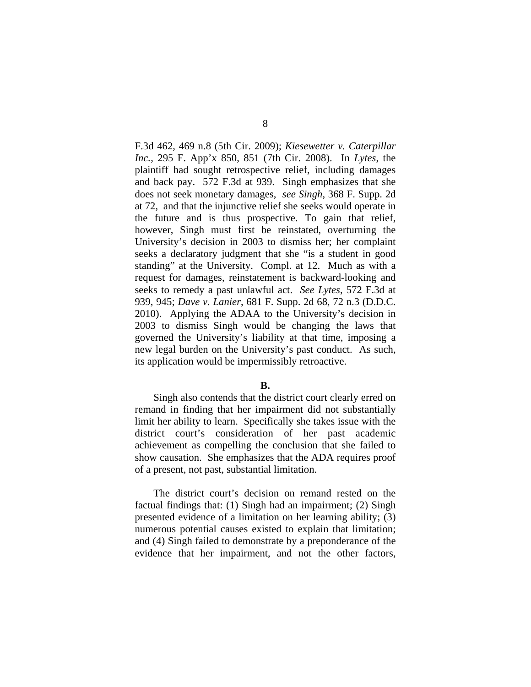F.3d 462, 469 n.8 (5th Cir. 2009); *Kiesewetter v. Caterpillar Inc.*, 295 F. App'x 850, 851 (7th Cir. 2008). In *Lytes*, the plaintiff had sought retrospective relief, including damages and back pay. 572 F.3d at 939. Singh emphasizes that she does not seek monetary damages, *see Singh*, 368 F. Supp. 2d at 72, and that the injunctive relief she seeks would operate in the future and is thus prospective. To gain that relief, however, Singh must first be reinstated, overturning the University's decision in 2003 to dismiss her; her complaint seeks a declaratory judgment that she "is a student in good standing" at the University. Compl. at 12. Much as with a request for damages, reinstatement is backward-looking and seeks to remedy a past unlawful act. *See Lytes*, 572 F.3d at 939, 945; *Dave v. Lanier*, 681 F. Supp. 2d 68, 72 n.3 (D.D.C. 2010). Applying the ADAA to the University's decision in 2003 to dismiss Singh would be changing the laws that governed the University's liability at that time, imposing a new legal burden on the University's past conduct. As such, its application would be impermissibly retroactive.

## **B.**

Singh also contends that the district court clearly erred on remand in finding that her impairment did not substantially limit her ability to learn. Specifically she takes issue with the district court's consideration of her past academic achievement as compelling the conclusion that she failed to show causation. She emphasizes that the ADA requires proof of a present, not past, substantial limitation.

The district court's decision on remand rested on the factual findings that: (1) Singh had an impairment; (2) Singh presented evidence of a limitation on her learning ability; (3) numerous potential causes existed to explain that limitation; and (4) Singh failed to demonstrate by a preponderance of the evidence that her impairment, and not the other factors,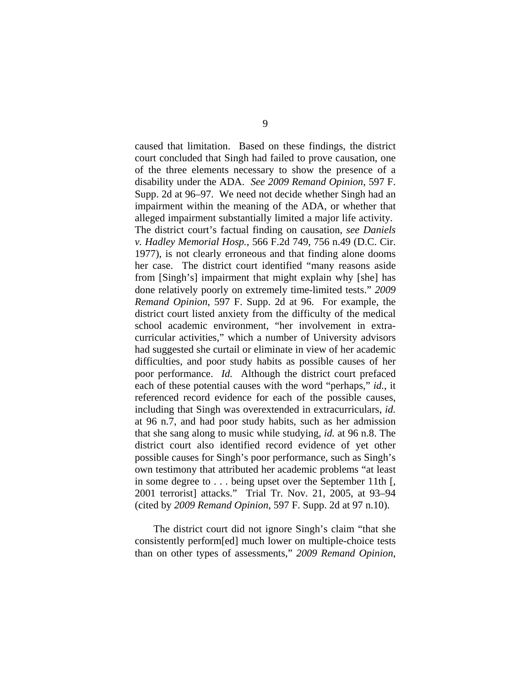caused that limitation. Based on these findings, the district court concluded that Singh had failed to prove causation, one of the three elements necessary to show the presence of a disability under the ADA. *See 2009 Remand Opinion*, 597 F. Supp. 2d at 96–97. We need not decide whether Singh had an impairment within the meaning of the ADA, or whether that alleged impairment substantially limited a major life activity. The district court's factual finding on causation, *see Daniels v. Hadley Memorial Hosp.*, 566 F.2d 749, 756 n.49 (D.C. Cir. 1977), is not clearly erroneous and that finding alone dooms her case. The district court identified "many reasons aside from [Singh's] impairment that might explain why [she] has done relatively poorly on extremely time-limited tests." *2009 Remand Opinion*, 597 F. Supp. 2d at 96. For example, the district court listed anxiety from the difficulty of the medical school academic environment, "her involvement in extracurricular activities," which a number of University advisors had suggested she curtail or eliminate in view of her academic difficulties, and poor study habits as possible causes of her poor performance. *Id.* Although the district court prefaced each of these potential causes with the word "perhaps," *id.*, it referenced record evidence for each of the possible causes, including that Singh was overextended in extracurriculars, *id.* at 96 n.7, and had poor study habits, such as her admission that she sang along to music while studying, *id.* at 96 n.8. The district court also identified record evidence of yet other possible causes for Singh's poor performance, such as Singh's own testimony that attributed her academic problems "at least in some degree to . . . being upset over the September 11th [, 2001 terrorist] attacks." Trial Tr. Nov. 21, 2005, at 93–94 (cited by *2009 Remand Opinion*, 597 F. Supp. 2d at 97 n.10).

The district court did not ignore Singh's claim "that she consistently perform[ed] much lower on multiple-choice tests than on other types of assessments," *2009 Remand Opinion*,